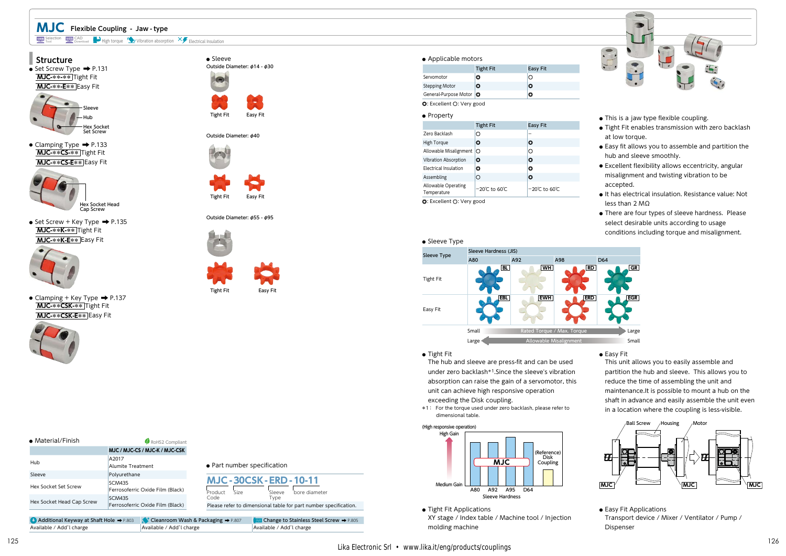## **MJC Flexible Coupling - Jaw - type** Selection  $\frac{W_{\text{eff}}}{W_{\text{D}}}\sum_{\text{Download}}$  High torque  $\frac{1}{2}$  Vibration absorption  $X$  Electrical Insulation

## **■ Structure**

**●** Set Screw Type ➡ P.131 **MJC-\*\*-\*\*** Tight Fit **MJC-\*\*-E\*\*** Easy Fit



**●** Clamping Type ➡ P.133 **MJC-\*\*CS-\*\*** Tight Fit **MJC-\*\*CS-E\*\*** Easy Fit



**●** Set Screw + Key Type ➡ P.135 **MJC-\*\*K-\*\*** Tight Fit **MJC-\*\*K-E\*\*** Easy Fit



**●** Clamping + Key Type ➡ P.137 **MJC-\*\*CSK-\*\*** Tight Fit **MJC-\*\*CSK-E\*\*** Easy Fit



| • Material/Finish                                             | RoHS2 Compliant                                   |                                                                                                                              |
|---------------------------------------------------------------|---------------------------------------------------|------------------------------------------------------------------------------------------------------------------------------|
|                                                               | MJC / MJC-CS / MJC-K / MJC-CSK                    |                                                                                                                              |
| Hub                                                           | A2017<br>Alumite Treatment                        | • Part number specification                                                                                                  |
| Sleeve                                                        | Polyurethane                                      |                                                                                                                              |
| Hex Socket Set Screw                                          | <b>SCM435</b><br>Ferrosoferric Oxide Film (Black) | <b>MJC-30CSK-ERD-10-11</b><br>bore diameter<br>Product<br>Sleeve<br>Size                                                     |
|                                                               | <b>SCM435</b>                                     | Code<br>Tvpe                                                                                                                 |
| Hex Socket Head Cap Screw                                     | Ferrosoferric Oxide Film (Black)                  | Please refer to dimensional table for part number specification.                                                             |
|                                                               |                                                   |                                                                                                                              |
| $\bullet$ Additional Keyway at Shaft Hole $\rightarrow$ P.803 |                                                   | $\sim$ Cleanroom Wash & Packaging $\rightarrow$ P.807<br><b>EXECUTE:</b> Change to Stainless Steel Screw $\rightarrow$ P.805 |

| ● Additional Keyway at Shaft Hole → P.803 → Cleanroom Wash & Packaging → P.807 |                          |
|--------------------------------------------------------------------------------|--------------------------|
| Available / Add'l charge                                                       | Available / Add'l charge |

**●** Sleeve Outside Diameter: φ14 - φ30









Outside Diameter: φ55 - φ95









Available / Add'l charge

#### **●** Applicable motors

|                                  | <b>Tight Fit</b> | <b>Easy Fit</b> |
|----------------------------------|------------------|-----------------|
| Servomotor                       | O                | ∩               |
| <b>Stepping Motor</b>            | O                | O               |
| General-Purpose Motor   O        |                  | O               |
| <b>Q:</b> Excellent O: Very good |                  |                 |

### **●** Property

| $\bullet$ Property                        |                                    |                                    |
|-------------------------------------------|------------------------------------|------------------------------------|
|                                           | <b>Tight Fit</b>                   | <b>Easy Fit</b>                    |
| Zero Backlash                             | O                                  |                                    |
| <b>High Torque</b>                        | $\circ$                            | ٥                                  |
| Allowable Misalignment                    | Ω                                  | Ο                                  |
| Vibration Absorption                      | O                                  | ٥                                  |
| Electrical Insulation                     | ٥                                  | ٥                                  |
| Assembling                                | ∩                                  | ٥                                  |
| <b>Allowable Operating</b><br>Temperature | $-20^{\circ}$ C to 60 $^{\circ}$ C | $-20^{\circ}$ C to 60 $^{\circ}$ C |

◎: Excellent ○: Very good

## **●** Sleeve Type



#### **●** Tight Fit

The hub and sleeve are press-fit and can be used under zero backlash\*1.Since the sleeve's vibration absorption can raise the gain of a servomotor, this unit can achieve high responsive operation exceeding the Disk coupling.

 \*1: For the torque used under zero backlash, please refer to dimensional table.

#### (High responsive operation)



**●** Tight Fit Applications XY stage / Index table / Machine tool / Injection molding machine



**●** This is a jaw type flexible coupling.

 $\mathbf{B}$ 

L.

**●** Excellent flexibility allows eccentricity, angular misalignment and twisting vibration to be accepted.

**●** Tight Fit enables transmission with zero backlash

- **●** It has electrical insulation. Resistance value: Not less than 2 MΩ
- **●** There are four types of sleeve hardness. Please select desirable units according to usage conditions including torque and misalignment.

#### **●** Easy Fit

This unit allows you to easily assemble and partition the hub and sleeve. This allows you to reduce the time of assembling the unit and maintenance.It is possible to mount a hub on the shaft in advance and easily assemble the unit even in a location where the coupling is less-visible.



**●** Easy Fit Applications Transport device / Mixer / Ventilator / Pump / Dispenser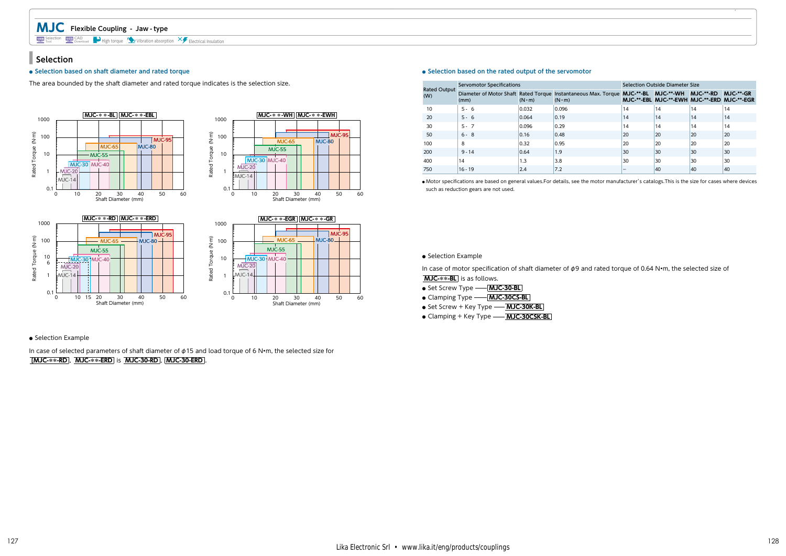## **MJC Flexible Coupling - Jaw - type**

Selection  $\frac{W_{\text{eff}}}{W_{\text{D}}}\sum_{\text{Download}}$  High torque  $\frac{1}{2}$  Vibration absorption  $X$  Electrical Insulation

### **■ Selection**

#### **● Selection based on shaft diameter and rated torque**

The area bounded by the shaft diameter and rated torque indicates is the selection size.









#### **●** Selection Example

In case of selected parameters of shaft diameter of φ15 and load torque of 6 N•m, the selected size for **[MJC-\*\*-RD** , **MJC-\*\*-ERD** is **MJC-30-RD** , **MJC-30-ERD** .

#### **● Selection based on the rated output of the servomotor**

| <b>Rated Output</b> | <b>Servomotor Specifications</b> |               |                                                                                                               |    | Selection Outside Diameter Size             |    |                  |
|---------------------|----------------------------------|---------------|---------------------------------------------------------------------------------------------------------------|----|---------------------------------------------|----|------------------|
| (W)                 | (mm)                             | $(N \cdot m)$ | Diameter of Motor Shaft Rated Torque Instantaneous Max. Torque MJC-**-BL MJC-**-WH MJC-**-RD<br>$(N \cdot m)$ |    | MJC-**-EBL MJC-**-EWH MJC-**-ERD MJC-**-EGR |    | <b>MJC-**-GR</b> |
| 10                  | $5 - 6$                          | 0.032         | 0.096                                                                                                         | 14 | 14                                          | 14 | 14               |
| 20                  | $5 - 6$                          | 0.064         | 0.19                                                                                                          | 14 | 14                                          | 14 | 14               |
| 30                  | $5 - 7$                          | 0.096         | 0.29                                                                                                          | 14 | 14                                          | 14 | 14               |
| 50                  | $6 - 8$                          | 0.16          | 0.48                                                                                                          | 20 | 20                                          | 20 | 20               |
| 100                 | 8                                | 0.32          | 0.95                                                                                                          | 20 | 20                                          | 20 | 20               |
| 200                 | $9 - 14$                         | 0.64          | 1.9                                                                                                           | 30 | 30                                          | 30 | 30               |
| 400                 | 14                               | 1.3           | 3.8                                                                                                           | 30 | 30                                          | 30 | 30               |
| 750                 | $16 - 19$                        | 2.4           | 7.2                                                                                                           |    | 40                                          | 40 | 40               |

● Motor specifications are based on general values.For details, see the motor manufacturer's catalogs.This is the size for cases where devices such as reduction gears are not used.

#### **●** Selection Example

In case of motor specification of shaft diameter of  $\phi$ 9 and rated torque of 0.64 N•m, the selected size of

**MJC-\*\*-BL** is as follows.

- **●** Set Screw Type **MJC-30-BL**
- **●** Clamping Type **MJC-30CS-BL**
- **●** Set Screw + Key Type **MJC-30K-BL**
- **●** Clamping + Key Type **MJC-30CSK-BL**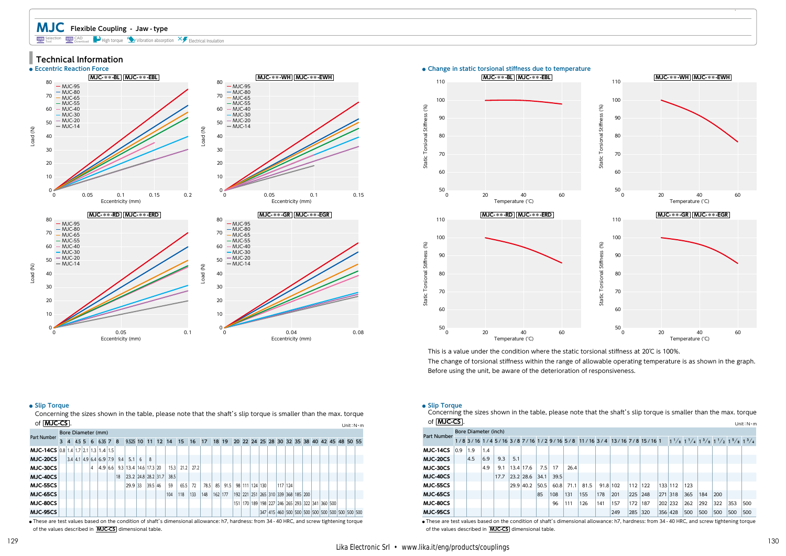**MJC Flexible Coupling - Jaw - type** Selection WEB CAD **Fight torque V** Vibration absorption  $X$  Electrical Insulation

#### **■ Technical Information**





This is a value under the condition where the static torsional stiffness at 20℃ is 100%.

The change of torsional stiffness within the range of allowable operating temperature is as shown in the graph. Before using the unit, be aware of the deterioration of responsiveness.

#### **● Slip Torque**

Concerning the sizes shown in the table, please note that the shaft's slip torque is smaller than the max. torque of **MJC-CS** .

| <u>. טטישישעווייט</u>                                                                                     |   |  |   |                    |    | Unit: $N \cdot m$                           |   |           |  |                            |      |      |      |         |       |  |                                                                       |  |  |         |  |  |  |  |  |
|-----------------------------------------------------------------------------------------------------------|---|--|---|--------------------|----|---------------------------------------------|---|-----------|--|----------------------------|------|------|------|---------|-------|--|-----------------------------------------------------------------------|--|--|---------|--|--|--|--|--|
| <b>Part Number</b>                                                                                        |   |  |   | Bore Diameter (mm) |    |                                             |   |           |  |                            |      |      |      |         |       |  |                                                                       |  |  |         |  |  |  |  |  |
|                                                                                                           | 3 |  |   | 4 4 5 5 6 6 35 7 8 |    |                                             |   |           |  | 9.525 10 11 12 14 15 16 17 |      |      |      |         | 18 19 |  | 20 22 24 25 28 30 32 35 38 40 42 45 48 50 55                          |  |  |         |  |  |  |  |  |
| <b>MJC-14CS</b> $\left  0.8 \right  1.4 \left  1.7 \right  2.1 \left  1.3 \right  1.4 \left  1.5 \right $ |   |  |   |                    |    |                                             |   |           |  |                            |      |      |      |         |       |  |                                                                       |  |  |         |  |  |  |  |  |
| <b>MJC-20CS</b>                                                                                           |   |  |   |                    |    | 3.4 4.1 4.9 6.4 6.9 7.9 9.4 5.1             | 6 | 8         |  |                            |      |      |      |         |       |  |                                                                       |  |  |         |  |  |  |  |  |
| MJC-30CS                                                                                                  |   |  | 4 | 4.9 6.6            |    | $9.3 \mid 13.4 \mid 14.6 \mid 17.3 \mid 20$ |   |           |  | 15.3                       | 21.2 | 27.2 |      |         |       |  |                                                                       |  |  |         |  |  |  |  |  |
| <b>MJC-40CS</b>                                                                                           |   |  |   |                    | 18 | 23.2 24.8 28.2 31.7                         |   |           |  | 38.5                       |      |      |      |         |       |  |                                                                       |  |  |         |  |  |  |  |  |
| <b>MJC-55CS</b>                                                                                           |   |  |   |                    |    | $29.9$ 33                                   |   | $39.5$ 46 |  | 59                         | 65.5 | 72   | 78.5 | 85      | 91.5  |  | 98 111 124 130                                                        |  |  | 117 124 |  |  |  |  |  |
| <b>MJC-65CS</b>                                                                                           |   |  |   |                    |    |                                             |   |           |  | 104                        | 118  | 133  | 148  | 162 177 |       |  | 192 221 251 265 310 339 368 185 200                                   |  |  |         |  |  |  |  |  |
| MJC-80CS                                                                                                  |   |  |   |                    |    |                                             |   |           |  |                            |      |      |      |         |       |  | 151   170   189   198   227   246   265   293   322   341   360   500 |  |  |         |  |  |  |  |  |
| <b>MJC-95CS</b>                                                                                           |   |  |   |                    |    |                                             |   |           |  |                            |      |      |      |         |       |  |                                                                       |  |  |         |  |  |  |  |  |
|                                                                                                           |   |  |   |                    |    |                                             |   |           |  |                            |      |      |      |         |       |  |                                                                       |  |  |         |  |  |  |  |  |

**●** These are test values based on the condition of shaft's dimensional allowance: h7, hardness: from 34 - 40 HRC, and screw tightening torque of the values described in **MJC-CS** dimensional table.

#### **● Slip Torque**

Concerning the sizes shown in the table, please note that the shaft's slip torque is smaller than the max. torque of **MJC-CS** . Unit:N・m

|                    |     |                      |     |      |     |             |      |      |      |      |          |                                                                     |           |     |         |     |                                                             |     |     | ___________ |
|--------------------|-----|----------------------|-----|------|-----|-------------|------|------|------|------|----------|---------------------------------------------------------------------|-----------|-----|---------|-----|-------------------------------------------------------------|-----|-----|-------------|
|                    |     | Bore Diameter (inch) |     |      |     |             |      |      |      |      |          |                                                                     |           |     |         |     |                                                             |     |     |             |
| <b>Part Number</b> |     |                      |     |      |     |             |      |      |      |      |          | 1/8 3/16 1/4 5/16 3/8 7/16 1/2 9/16 5/8 11/16 3/4 13/16 7/8 15/16 1 |           |     |         |     | $1^{1}/8$ $1^{1}/4$ $1^{3}/8$ $1^{1}/2$ $1^{5}/8$ $1^{3}/4$ |     |     |             |
| <b>MJC-14CS</b>    | 0.9 | 1.9                  | 1.4 |      |     |             |      |      |      |      |          |                                                                     |           |     |         |     |                                                             |     |     |             |
| <b>MJC-20CS</b>    |     | 4.5                  | 6.9 | 9.3  | 5.1 |             |      |      |      |      |          |                                                                     |           |     |         |     |                                                             |     |     |             |
| MJC-30CS           |     |                      | 4.9 | 9.1  |     | $13.4$ 17.6 | 7.5  | 17   | 26.4 |      |          |                                                                     |           |     |         |     |                                                             |     |     |             |
| <b>MJC-40CS</b>    |     |                      |     | 17.7 |     | 23.2 28.6   | 34.1 | 39.5 |      |      |          |                                                                     |           |     |         |     |                                                             |     |     |             |
| <b>MJC-55CS</b>    |     |                      |     |      |     | $29.9$ 40.2 | 50.5 | 60.8 | 71.1 | 81.5 | 91.8 102 |                                                                     | $112$ 122 |     | 133 112 | 123 |                                                             |     |     |             |
| <b>MJC-65CS</b>    |     |                      |     |      |     |             | 85   | 108  | 131  | 155  | 178      | 201                                                                 | 225 248   |     | 271 318 | 365 | 184                                                         | 200 |     |             |
| MJC-80CS           |     |                      |     |      |     |             |      | 96   | 111  | 126  | 141      | 157                                                                 | 172       | 187 | 202 232 | 262 | 292                                                         | 322 | 353 | 500         |
| <b>MJC-95CS</b>    |     |                      |     |      |     |             |      |      |      |      |          | 249                                                                 | 285       | 320 | 356 428 | 500 | 500                                                         | 500 | 500 | 500         |
|                    |     |                      |     |      |     |             |      |      |      |      |          |                                                                     |           |     |         |     |                                                             |     |     |             |

**●** These are test values based on the condition of shaft's dimensional allowance: h7, hardness: from 34 - 40 HRC, and screw tightening torque of the values described in **MJC-CS** dimensional table.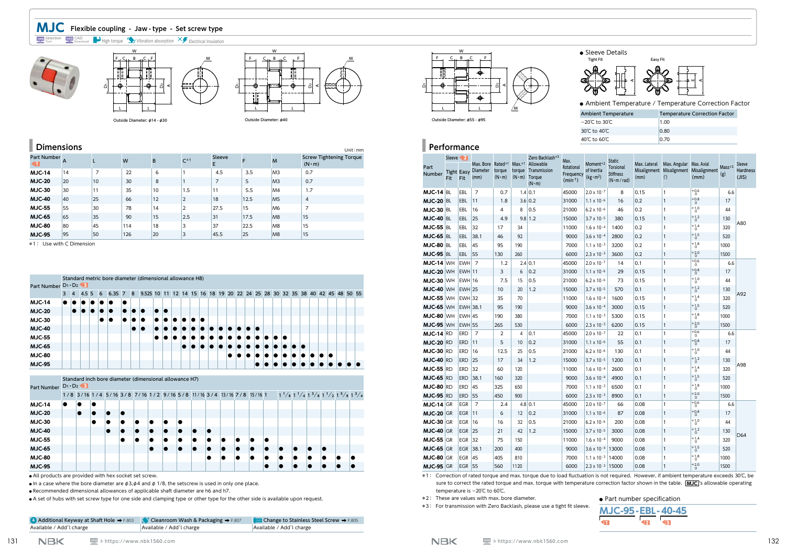**MJC Flexible coupling - Jaw - type - Set screw type**

Selection Tool **WEB** CAD  $\mathbb{Z}$  High torque  $\mathbb{Z}$  Vibration absorption  $\mathbb{Z}$  Electrical Insulation





Outside Diameter: φ14 - φ30

Outside Diameter: φ40

D1

| <b>Dimensions</b> |    |    |     |    |                |                |      |                | Unit : mm                                       |
|-------------------|----|----|-----|----|----------------|----------------|------|----------------|-------------------------------------------------|
| Part Number       | A  |    | W   | B  | $C*1$          | Sleeve<br>Е    | F    | M              | <b>Screw Tightening Torque</b><br>$(N \cdot m)$ |
| <b>MJC-14</b>     | 14 | 7  | 22  | 6  |                | 4.5            | 3.5  | M <sub>3</sub> | 0.7                                             |
| <b>MJC-20</b>     | 20 | 10 | 30  | 8  | 1              | $\overline{7}$ | 5    | M <sub>3</sub> | 0.7                                             |
| <b>MJC-30</b>     | 30 | 11 | 35  | 10 | 1.5            | 11             | 5.5  | M4             | 1.7                                             |
| <b>MJC-40</b>     | 40 | 25 | 66  | 12 | $\overline{2}$ | 18             | 12.5 | M <sub>5</sub> | $\overline{4}$                                  |
| <b>MJC-55</b>     | 55 | 30 | 78  | 14 | $\overline{2}$ | 27.5           | 15   | M <sub>6</sub> | $\overline{7}$                                  |
| <b>MJC-65</b>     | 65 | 35 | 90  | 15 | 2.5            | 31             | 17.5 | M <sub>8</sub> | 15                                              |
| <b>MJC-80</b>     | 80 | 45 | 114 | 18 | 3              | 37             | 22.5 | M <sub>8</sub> | 15                                              |
| <b>MJC-95</b>     | 95 | 50 | 126 | 20 | 3              | 45.5           | 25   | M <sub>8</sub> | 15                                              |

\*1: Use with C Dimension

×.

| Part Number $D_1 \cdot D_2$ |           |                  |                  |   |     |           |    |                | Standard metric bore diameter (dimensional allowance H8)                   |    |    |   |   |   |     |   |   |  |   |  |                    |  |   |  |     |  |
|-----------------------------|-----------|------------------|------------------|---|-----|-----------|----|----------------|----------------------------------------------------------------------------|----|----|---|---|---|-----|---|---|--|---|--|--------------------|--|---|--|-----|--|
|                             | 3         | $\overline{4}$   | 4.5 <sub>5</sub> |   | 6   | $6.35\,7$ |    | $\blacksquare$ | 9,525 10 11 12 14 15 16 18 19 20 22 24 25 28 30 32 35 38 40 42 45 48 50 55 |    |    |   |   |   |     |   |   |  |   |  |                    |  |   |  |     |  |
| <b>MJC-14</b>               | $\bullet$ | $\bullet$        | $\bullet$        | Ð | Ð   | ∙         | lo |                |                                                                            |    |    |   |   |   |     |   |   |  |   |  |                    |  |   |  |     |  |
| <b>MJC-20</b>               |           | $\bullet\bullet$ |                  | Ð | IO. | IO.       | lo | Ð              | $\bullet$                                                                  | lo | 10 |   |   |   |     |   |   |  |   |  |                    |  |   |  |     |  |
| <b>MJC-30</b>               |           |                  |                  |   |     | lo        |    |                | o                                                                          | lo | ∙  | ∙ | Ð |   | - 1 |   |   |  |   |  |                    |  |   |  |     |  |
| <b>MJC-40</b>               |           |                  |                  |   |     |           |    |                | $\bullet$                                                                  |    |    |   |   | Ð | Ð   | Ð | . |  |   |  |                    |  |   |  |     |  |
| <b>MJC-55</b>               |           |                  |                  |   |     |           |    |                |                                                                            |    |    |   |   |   |     |   |   |  |   |  | <u>ia ia ia ia</u> |  |   |  |     |  |
| <b>MJC-65</b>               |           |                  |                  |   |     |           |    |                |                                                                            |    |    |   |   |   |     |   |   |  | . |  |                    |  |   |  |     |  |
| <b>MJC-80</b>               |           |                  |                  |   |     |           |    |                |                                                                            |    |    |   |   |   |     |   |   |  |   |  |                    |  | . |  |     |  |
| <b>MJC-95</b>               |           |                  |                  |   |     |           |    |                |                                                                            |    |    |   |   |   |     |   |   |  |   |  |                    |  |   |  | . . |  |

Part Number Standard inch bore diameter (dimensional allowance H7) D1・D2◀**3** 1/8 3/16 1/4 5/16 3/8 7/16 1/2 9/16 5/8 11/16 3/4 13/16 7/8 15/16 1  $1^{1}/_8$  1<sup>1</sup>/<sub>4</sub> 1<sup>3</sup>/<sub>8</sub> 1<sup>1</sup>/<sub>2</sub> 1<sup>5</sup>/<sub>8</sub> 1<sup>3</sup>/<sub>4</sub> **MJC-14 MJC-20** MJC-30 **| | |● |● |● |● |● |● |●** |● **MJC-40** ● ● ● ● ● ● ● ● **MJC-55** ● ● ● ● ● ● ● ● ● ● ● **MJC-65** ● ● ● ● ● ● ● ● ● ● ● ● ● **MJC-80** ● ● ● ● ● ● ● ● ● ● ● **MJC-95** ● ● ● ● ● ● ●

**●** All products are provided with hex socket set screw.

**•** In a case where the bore diameter are  $φ3,φ4$  and  $φ1/8$ , the setscrew is used in only one place.

**●** Recommended dimensional allowances of applicable shaft diameter are h6 and h7.

**●** A set of hubs with set screw type for one side and clamping type or other type for the other side is available upon request.

| ● Additional Keyway at Shaft Hole $\rightarrow$ P.803 → Cleanroom Wash & Packaging $\rightarrow$ P.807 |                          | ■ SUS Change to Stainless Steel Screw → P.805 |
|--------------------------------------------------------------------------------------------------------|--------------------------|-----------------------------------------------|
| Available / Add'l charge                                                                               | Available / Add'l charge | Available / Add'l charge                      |



Outside Diameter: φ55 - φ95

**●** Sleeve Details



**●** Ambient Temperature / Temperature Correction Factor

| <b>Ambient Temperature</b> | <b>Temperature Correction Factor</b> |
|----------------------------|--------------------------------------|
| $-20^{\circ}$ C to 30℃     | 1.00                                 |
| 30℃ to 40℃                 | 0.80                                 |
| 40℃ to 60℃                 | 0.70                                 |

## **■ Performance**

|                       | Sleeve 2   |               |                                                         |                         |                                     | Zero Backlash*3                                      | Max.                                 |                                            | <b>Static</b>                                        |                      |                                |                                                |               |                                    |
|-----------------------|------------|---------------|---------------------------------------------------------|-------------------------|-------------------------------------|------------------------------------------------------|--------------------------------------|--------------------------------------------|------------------------------------------------------|----------------------|--------------------------------|------------------------------------------------|---------------|------------------------------------|
| Part<br><b>Number</b> | <b>Fit</b> | <b>Fit</b>    | Max. Bore Rated*1<br><b>Tight Easy Diameter</b><br>(mm) | torque<br>$(N \cdot m)$ | $Max.*1$<br>torque<br>$(N \cdot m)$ | Allowable<br>Transmission<br>Torque<br>$(N \cdot m)$ | Rotational<br>Frequency<br>$(min-1)$ | Moment*2<br>of Inertia<br>$(kg \cdot m^2)$ | Torsional<br><b>Stiffness</b><br>$(N \cdot m / rad)$ | Max. Lateral<br>(mm) | Max. Angular Max. Axial<br>(°) | Misalignment Misalignment Misalignment<br>(mm) | Mass*2<br>(g) | Sleeve<br><b>Hardness</b><br>(JIS) |
| $MJC-14$ BL           |            | EBL           | $\overline{7}$                                          | 0.7                     |                                     | 1.4 0.1                                              | 45000                                | $2.0 \times 10^{-7}$                       | 8                                                    | 0.15                 | 1                              | $^{+0.6}_{0}$                                  | 6.6           |                                    |
| <b>MJC-20 BL</b>      |            | <b>EBL</b>    | 11                                                      | 1.8                     |                                     | 3.6 0.2                                              | 31000                                | $1.1 \times 10^{-6}$                       | 16                                                   | 0.2                  | 1                              | $+0.8$<br>$\mathbf 0$                          | 17            |                                    |
| <b>MJC-30 BL</b>      |            | EBL           | 16                                                      | 4                       | 8                                   | 0.5                                                  | 21000                                | $6.2 \times 10^{-6}$                       | 46                                                   | 0.2                  | 1                              | $^{+1.0}_{0}$                                  | 44            |                                    |
| <b>MJC-40 BL</b>      |            | <b>EBL</b>    | 25                                                      | 4.9                     |                                     | 9.8 1.2                                              | 15000                                | $3.7 \times 10^{-5}$                       | 380                                                  | 0.15                 | 1                              | $^{+1.2}_{0}$                                  | 130           | A80                                |
| <b>MJC-55 BL</b>      |            | EBL           | 32                                                      | 17                      | 34                                  |                                                      | 11000                                | $1.6 \times 10^{-4}$                       | 1400                                                 | 0.2                  | 1                              | $^{+1.4}_{0}$                                  | 320           |                                    |
| <b>MJC-65 BL</b>      |            | EBL           | 38.1                                                    | 46                      | 92                                  |                                                      | 9000                                 | $3.6 \times 10^{-4}$                       | 2800                                                 | 0.2                  | 1                              | $^{+1.5}_{0}$                                  | 520           |                                    |
| <b>MJC-80 BL</b>      |            | EBL           | 45                                                      | 95                      | 190                                 |                                                      | 7000                                 | $1.1 \times 10^{-3}$                       | 3200                                                 | 0.2                  | 1                              | $^{+1.8}_{0}$                                  | 1000          |                                    |
| <b>MJC-95 BL</b>      |            | EBL           | 55                                                      | 130                     | 260                                 |                                                      | 6000                                 | $2.3 \times 10^{-3}$                       | 3600                                                 | 0.2                  | 1                              | $+2.0$                                         | 1500          |                                    |
| $MJC-14$ WH           |            | <b>EWH</b>    | $\overline{7}$                                          | 1.2                     |                                     | 2.4 0.1                                              | 45000                                | $2.0 \times 10^{-7}$                       | 14                                                   | 0.1                  | 1                              | $+0.6$                                         | 6.6           |                                    |
| <b>MJC-20 WH</b>      |            | $EWH$ 11      |                                                         | 3                       | 6                                   | 0.2                                                  | 31000                                | $1.1 \times 10^{-6}$                       | 29                                                   | 0.15                 | 1                              | $^{+0.8}_{0}$                                  | 17            |                                    |
| <b>MJC-30 WH</b>      |            | $EWH$ 16      |                                                         | 7.5                     | 15                                  | 0.5                                                  | 21000                                | $6.2 \times 10^{-6}$                       | 73                                                   | 0.15                 | 1                              | $^{+1.0}_{0}$                                  | 44            |                                    |
| <b>MJC-40 WH</b>      |            | <b>EWH 25</b> |                                                         | 10                      | 20                                  | 1.2                                                  | 15000                                | $3.7 \times 10^{-5}$                       | 570                                                  | 0.1                  | $\mathbf{1}$                   | $^{+1.2}_{0}$                                  | 130           | A92                                |
| <b>MJC-55 WH</b>      |            | <b>EWH 32</b> |                                                         | 35                      | 70                                  |                                                      | 11000                                | $1.6 \times 10^{-4}$                       | 1600                                                 | 0.15                 | 1                              | $^{+1.4}_{0}$                                  | 320           |                                    |
| <b>MJC-65 WH</b>      |            | EWH 38.1      |                                                         | 95                      | 190                                 |                                                      | 9000                                 | $3.6 \times 10^{-4}$                       | 3000                                                 | 0.15                 | $\mathbf{1}$                   | $^{+1.5}_{0}$                                  | 520           |                                    |
| <b>MJC-80 WH</b>      |            | <b>EWH 45</b> |                                                         | 190                     | 380                                 |                                                      | 7000                                 | $1.1 \times 10^{-3}$                       | 5300                                                 | 0.15                 | 1                              | $^{+1.8}_{0}$                                  | 1000          |                                    |
| <b>MJC-95 WH</b>      |            | <b>EWH 55</b> |                                                         | 265                     | 530                                 |                                                      | 6000                                 | $2.3 \times 10^{-3}$                       | 6200                                                 | 0.15                 | 1                              | $+2.0$                                         | 1500          |                                    |
| <b>MJC-14 RD</b>      |            | <b>ERD</b>    | $\overline{7}$                                          | 2                       | 4                                   | 0.1                                                  | 45000                                | $2.0 \times 10^{-7}$                       | 22                                                   | 0.1                  | 1                              | $^{+0.6}_{0}$                                  | 6.6           |                                    |
| <b>MJC-20 RD</b>      |            | <b>ERD</b>    | 11                                                      | 5                       | 10                                  | 0.2                                                  | 31000                                | $1.1 \times 10^{-6}$                       | 55                                                   | 0.1                  | 1                              | $^{+0.8}_{0}$                                  | 17            |                                    |
| <b>MJC-30 RD</b>      |            | <b>ERD</b>    | 16                                                      | 12.5                    | 25                                  | 0.5                                                  | 21000                                | $6.2 \times 10^{-6}$                       | 130                                                  | 0.1                  | 1                              | $^{+1.0}_{0}$                                  | 44            |                                    |
| <b>MJC-40 RD</b>      |            | <b>ERD</b>    | 25                                                      | 17                      | 34                                  | 1.2                                                  | 15000                                | $3.7 \times 10^{-5}$                       | 1200                                                 | 0.1                  | $\mathbf{1}$                   | $^{+1.2}_{0}$                                  | 130           | A98                                |
| <b>MJC-55 RD</b>      |            | <b>ERD</b>    | 32                                                      | 60                      | 120                                 |                                                      | 11000                                | $1.6 \times 10^{-4}$                       | 2600                                                 | 0.1                  | 1                              | $^{+1.4}_{0}$                                  | 320           |                                    |
| <b>MJC-65 RD</b>      |            | <b>ERD</b>    | 38.1                                                    | 160                     | 320                                 |                                                      | 9000                                 | $3.6 \times 10^{-4}$                       | 4900                                                 | 0.1                  | $\mathbf{1}$                   | $^{+1.5}_{0}$                                  | 520           |                                    |
| <b>MJC-80 RD</b>      |            | ERD           | 45                                                      | 325                     | 650                                 |                                                      | 7000                                 | $1.1 \times 10^{-3}$                       | 6500                                                 | 0.1                  | 1                              | $^{+1.8}_{0}$                                  | 1000          |                                    |
| <b>MJC-95 RD</b>      |            | <b>ERD</b>    | 55                                                      | 450                     | 900                                 |                                                      | 6000                                 | $2.3 \times 10^{-3}$                       | 8900                                                 | 0.1                  | 1                              | $+2.0$                                         | 1500          |                                    |
| $MJC-14$ GR           |            | <b>EGR</b>    | $\overline{7}$                                          | 2.4                     |                                     | 4.8 0.1                                              | 45000                                | $2.0 \times 10^{-7}$                       | 66                                                   | 0.08                 | 1                              | $+0.6$                                         | 6.6           |                                    |
| <b>MJC-20 GR</b>      |            | <b>EGR</b>    | 11                                                      | 6                       | 12                                  | 0.2                                                  | 31000                                | $1.1 \times 10^{-6}$                       | 87                                                   | 0.08                 | $\mathbf{1}$                   | $^{+0.8}_{0}$                                  | 17            |                                    |
| $MJC-30$ GR           |            | <b>EGR</b>    | 16                                                      | 16                      | 32                                  | 0.5                                                  | 21000                                | $6.2 \times 10^{-6}$                       | 200                                                  | 0.08                 | 1                              | $^{+1.0}_{0}$                                  | 44            |                                    |
| $MJC-40$ GR           |            | <b>EGR</b>    | 25                                                      | 21                      | 42                                  | 1.2                                                  | 15000                                | $3.7 \times 10^{-5}$                       | 3000                                                 | 0.08                 | $\mathbf{1}$                   | $^{+1.2}_{0}$                                  | 130           |                                    |
| <b>MJC-55 GR</b>      |            | <b>EGR</b>    | 32                                                      | 75                      | 150                                 |                                                      | 11000                                | $1.6 \times 10^{-4}$                       | 9000                                                 | 0.08                 | 1                              | $^{+1.4}_{0}$                                  | 320           | D64                                |
| <b>MJC-65 GR</b>      |            | <b>EGR</b>    | 38.1                                                    | 200                     | 400                                 |                                                      | 9000                                 | $3.6 \times 10^{-4}$                       | 13000                                                | 0.08                 | $\mathbf{1}$                   | $^{+1.5}_{0}$                                  | 520           |                                    |
| <b>MJC-80 GR</b>      |            | EGR           | 45                                                      | 405                     | 810                                 |                                                      | 7000                                 | $1.1 \times 10^{-3}$                       | 14000                                                | 0.08                 | 1                              | $^{+1.8}_{0}$                                  | 1000          |                                    |
| <b>MJC-95 GR</b>      |            | <b>EGR</b>    | 55                                                      | 560                     | 1120                                |                                                      | 6000                                 | $2.3 \times 10^{-3}$ 15000                 |                                                      | 0.08                 | 1                              | $+2.0$                                         | 1500          |                                    |

 \*1: Correction of rated torque and max. torque due to load fl uctuation is not required. However, if ambient temperature exceeds 30℃, be sure to correct the rated torque and max. torque with temperature correction factor shown in the table. **MJC** 's allowable operating temperature is -20℃ to 60℃.

\*2: These are values with max. bore diameter.

\*3: For transmission with Zero Backlash, please use a tight fit sleeve.

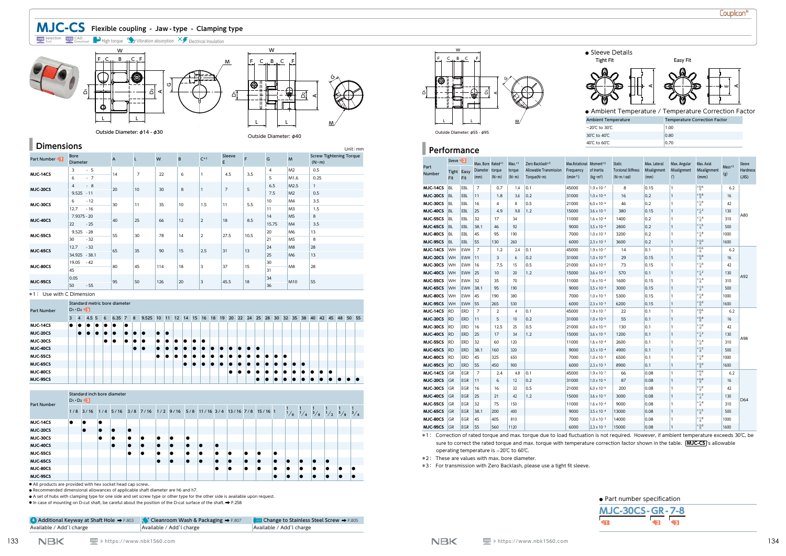**MJC-CS Flexible coupling - Jaw - type - Clamping type**

Selection **WEB** CAD  $\Box$  High torque  $\Diamond$  Vibration absorption  $\times$  Electrical Insulation



|  | <b>Dimensions</b> |
|--|-------------------|
|  |                   |
|  |                   |

|                 |                         |                |                |     |    |                |                |      |       |                  | Unit: $mm$                                      |
|-----------------|-------------------------|----------------|----------------|-----|----|----------------|----------------|------|-------|------------------|-------------------------------------------------|
| Part Number     | <b>Bore</b><br>Diameter | $\overline{A}$ | L              | W   | B  | $C*1$          | Sleeve<br>E    | F    | G     | M                | <b>Screw Tightening Torque</b><br>$(N \cdot m)$ |
| MJC-14CS        | $-5$<br>3               | 14             | $\overline{7}$ | 22  | 6  | 1              | 4.5            | 3.5  | 4     | M <sub>2</sub>   | 0.5                                             |
|                 | $-7$<br>6               |                |                |     |    |                |                |      | 5     | M <sub>1.6</sub> | 0.25                                            |
| <b>MJC-20CS</b> | $-8$<br>$\overline{4}$  | 20             | 10             | 30  | 8  | $\mathbf{1}$   | $\overline{7}$ | 5    | 6.5   | M <sub>2.5</sub> | $\overline{1}$                                  |
|                 | $9.525 - 11$            |                |                |     |    |                |                |      | 7.5   | M <sub>2</sub>   | 0.5                                             |
| MJC-30CS        | $-12$<br>6              | 30             | 11             | 35  | 10 | 1.5            | 11             | 5.5  | 10    | M4               | 3.5                                             |
|                 | 12.7<br>$-16$           |                |                |     |    |                |                |      | 11    | M <sub>3</sub>   | 1.5                                             |
| <b>MJC-40CS</b> | 7.9375 - 20             | 40             | 25             | 66  | 12 | $\overline{2}$ | 18             | 8.5  | 14    | M <sub>5</sub>   | 8                                               |
|                 | $-25$<br>22             |                |                |     |    |                |                |      | 15.75 | M <sub>4</sub>   | 3.5                                             |
| <b>MJC-55CS</b> | 9.525<br>$-28$          | 55             | 30             | 78  | 14 | $\overline{2}$ | 27.5           | 10.5 | 20    | M <sub>6</sub>   | 13                                              |
|                 | $-32$<br>30             |                |                |     |    |                |                |      | 21    | M <sub>5</sub>   | 8                                               |
| <b>MJC-65CS</b> | $-32$<br>12.7           | 65             | 35             | 90  | 15 | 2.5            | 31             | 13   | 24    | M <sub>8</sub>   | 28                                              |
|                 | 34.925 - 38.1           |                |                |     |    |                |                |      | 25    | M <sub>6</sub>   | 13                                              |
| MJC-80CS        | $-42$<br>19.05          | 80             | 45             | 114 | 18 | 3              | 37             | 15   | 30    | M <sub>8</sub>   | 28                                              |
|                 | 45                      |                |                |     |    |                |                |      | 31    |                  |                                                 |
| <b>MJC-95CS</b> | 0.05                    | 95             | 50             | 126 | 20 | 3              | 45.5           | 18   | 34    | M10              | 55                                              |
|                 | 50<br>$-55$             |                |                |     |    |                |                |      | 36    |                  |                                                 |

#### \*1: Use with C Dimension

| <b>Part Number</b> |   | $D_1 \cdot D_2 \cdot 3$ |               | Standard metric bore diameter |   |           |                |           |    |   |    |    |    |    |    |           |          |    |          |      |    |    |       |   |             |  |  |
|--------------------|---|-------------------------|---------------|-------------------------------|---|-----------|----------------|-----------|----|---|----|----|----|----|----|-----------|----------|----|----------|------|----|----|-------|---|-------------|--|--|
|                    | 3 | $\overline{a}$          | $4.5 \t5 \t6$ | $6.35 \quad 7$                |   | 8         | 9.525 10 11 12 |           |    |   | 14 | 15 | 16 | 18 | 19 |           | 20 22 24 |    | 25 28 30 | 32   | 35 | 38 | 40 42 |   | 45 48 50 55 |  |  |
| <b>MJC-14CS</b>    | o |                         |               |                               | ю |           |                |           |    |   |    |    |    |    |    |           |          |    |          |      |    |    |       |   |             |  |  |
| <b>MJC-20CS</b>    |   |                         |               |                               |   |           | lo             | $\bullet$ | lo |   |    |    |    |    |    |           |          |    |          |      |    |    |       |   |             |  |  |
| MJC-30CS           |   |                         |               |                               |   |           |                |           |    |   |    |    | lo |    |    |           |          |    |          |      |    |    |       |   |             |  |  |
| <b>MJC-40CS</b>    |   |                         |               |                               |   | $\bullet$ |                |           |    |   |    |    |    |    |    |           | o        | l. |          |      |    |    |       |   |             |  |  |
| <b>MJC-55CS</b>    |   |                         |               |                               |   |           |                |           |    | ٠ |    |    |    |    |    |           |          |    | l.       | - 10 |    |    |       |   |             |  |  |
| <b>MJC-65CS</b>    |   |                         |               |                               |   |           |                |           |    |   | e  |    |    |    |    |           |          |    |          |      |    | le |       |   |             |  |  |
| <b>MJC 80CS</b>    |   |                         |               |                               |   |           |                |           |    |   |    |    |    |    |    | $\bullet$ |          |    |          |      |    |    |       | ∙ | le          |  |  |
| <b>MJC-95CS</b>    |   |                         |               |                               |   |           |                |           |    |   |    |    |    |    |    |           |          |    |          |      |    |    |       |   |             |  |  |

| <b>Part Number</b> | Standard inch bore diameter<br>$D_1 \cdot D_2 \cdot 3$ |    |  |  |    |           |  |           |    |    |    |                                                                     |           |    |                 |             |                     |                                 |                 |
|--------------------|--------------------------------------------------------|----|--|--|----|-----------|--|-----------|----|----|----|---------------------------------------------------------------------|-----------|----|-----------------|-------------|---------------------|---------------------------------|-----------------|
|                    |                                                        |    |  |  |    |           |  |           |    |    |    | 1/8 3/16 1/4 5/16 3/8 7/16 1/2 9/16 5/8 11/16 3/4 13/16 7/8 15/16 1 |           |    | $\frac{1}{1/8}$ | $^{1}/_{4}$ | $\mathbf{1}$<br>3/8 | $\frac{1}{1/2}$ $\frac{1}{5/8}$ | $\frac{1}{3/4}$ |
| <b>MJC-14CS</b>    | l o                                                    | lO |  |  |    |           |  |           |    |    |    |                                                                     |           |    |                 |             |                     |                                 |                 |
| <b>MJC-20CS</b>    |                                                        | lo |  |  |    |           |  |           |    |    |    |                                                                     |           |    |                 |             |                     |                                 |                 |
| MJC-30CS           |                                                        |    |  |  |    | $\bullet$ |  |           | lo |    |    |                                                                     |           |    |                 |             |                     |                                 |                 |
| <b>MJC-40CS</b>    |                                                        |    |  |  |    |           |  | $\bullet$ |    | lo | lo |                                                                     |           |    |                 |             |                     |                                 |                 |
| <b>MJC-55CS</b>    |                                                        |    |  |  | lo | $\bullet$ |  |           |    |    |    | $\bullet$                                                           |           | lo |                 |             |                     |                                 |                 |
| <b>MJC-65CS</b>    |                                                        |    |  |  |    |           |  |           |    |    |    |                                                                     | $\bullet$ |    |                 |             | Ð                   | o                               |                 |
| <b>MJC-80CS</b>    |                                                        |    |  |  |    |           |  |           |    |    |    |                                                                     |           |    |                 |             |                     | $\bullet$                       |                 |
| <b>MJC-95CS</b>    |                                                        |    |  |  |    |           |  |           |    |    |    |                                                                     |           |    |                 |             |                     |                                 |                 |

**●** All products are provided with hex socket head cap screw.

**●** Recommended dimensional allowances of applicable shaft diameter are h6 and h7.

**●** A set of hubs with clamping type for one side and set screw type or other type for the other side is available upon request.

**●** In case of mounting on D-cut shaft, be careful about the position of the D-cut surface of the shaft. ➡ P.258

| ● Additional Keyway at Shaft Hole $\rightarrow$ P.803 and St Cleanroom Wash & Packaging $\rightarrow$ P.807 |                          | <b>EXXX</b> Change to Stainless Steel Screw $\rightarrow$ P.805 |
|-------------------------------------------------------------------------------------------------------------|--------------------------|-----------------------------------------------------------------|
| Available / Add'l charge                                                                                    | Available / Add'l charge | Available / Add'l charge                                        |





Outside Diameter: φ55 - φ95

| ۵                                             |                        |                          | اۃ                                    |                |                |                                                                                                                                         |                |                                              |                                                       |              |                                      |                                 |             |                 |
|-----------------------------------------------|------------------------|--------------------------|---------------------------------------|----------------|----------------|-----------------------------------------------------------------------------------------------------------------------------------------|----------------|----------------------------------------------|-------------------------------------------------------|--------------|--------------------------------------|---------------------------------|-------------|-----------------|
|                                               |                        |                          |                                       |                |                |                                                                                                                                         |                |                                              | • Ambient Temperature / Temperature Correction Factor |              |                                      |                                 |             |                 |
|                                               |                        |                          |                                       |                |                |                                                                                                                                         |                | <b>Ambient Temperature</b>                   |                                                       |              | <b>Temperature Correction Factor</b> |                                 |             |                 |
|                                               |                        |                          |                                       |                |                |                                                                                                                                         |                | -20℃ to 30℃                                  |                                                       |              | 1.00                                 |                                 |             |                 |
|                                               |                        |                          | Outside Diameter: ¢55 - ¢95           |                |                |                                                                                                                                         |                | 30℃ to 40℃                                   |                                                       |              | 0.80                                 |                                 |             |                 |
|                                               |                        |                          |                                       |                |                |                                                                                                                                         |                | 40℃ to 60℃                                   |                                                       |              | 0.70                                 |                                 |             |                 |
| Performance                                   |                        |                          |                                       |                |                |                                                                                                                                         |                |                                              |                                                       |              |                                      |                                 |             |                 |
|                                               | Sleeve <b>2</b>        |                          | Max. Bore Rated*1                     |                | $Max.*1$       | Zero Backlash*3                                                                                                                         | Max.Rotational | Moment <sup>*2</sup>                         | <b>Static</b>                                         | Max. Lateral | Max. Angular                         | Max. Axial                      |             | Sleeve          |
| Part                                          | Tight                  | Easy                     | Diameter                              | torque         | torque         | Allowable Transmission                                                                                                                  | Frequency      | of Inertia                                   | <b>Torsional Stiffness</b>                            | Misalignment | Misalignment                         | Misalignment                    | $Mass*2$    | <b>Hardness</b> |
| Number                                        | Fit                    | Fit                      | (mm)                                  | $(N \cdot m)$  | $(N \cdot m)$  | Torque( $N \cdot m$ )                                                                                                                   | $(min-1)$      | $(kg \cdot m^2)$                             | $(N \cdot m / rad)$                                   | (mm)         | (°)                                  | (mm)                            | (g)         | (JIS)           |
| <b>MJC-14CS</b>                               | <b>BL</b>              | EBL                      | $\overline{7}$                        | 0.7            | 1.4            | 0.1                                                                                                                                     | 45000          | $1.9 \times 10^{-7}$                         | 8                                                     | 0.15         | $\mathbf{1}$                         | $^{+0.6}_{0}$                   | 6.2         |                 |
| <b>MJC-20CS</b>                               | <b>BL</b>              | EBL                      | 11                                    | 1.8            | 3.6            | 0.2                                                                                                                                     | 31000          | $1.0 \times 10^{-6}$                         | 16                                                    | 0.2          | $\mathbf{1}$                         | $^{+0.8}_{0}$                   | 16          |                 |
| MJC-30CS                                      | <b>BL</b>              | EBL                      | 16                                    | $\overline{4}$ | 8              | 0.5                                                                                                                                     | 21000          | $6.0 \times 10^{-6}$                         | 46                                                    | 0.2          | 1                                    | $^{+1.0}_{0}$                   | 42          |                 |
| MJC-40CS                                      | <b>BL</b>              | EBL                      | 25                                    | 4.9            | 9.8            | 1.2                                                                                                                                     | 15000          | $3.6 \times 10^{-5}$                         | 380                                                   | 0.15         | 1                                    | $^{+1.2}_{0}$                   | 130         |                 |
| <b>MJC-55CS</b>                               | <b>BL</b>              | EBL                      | 32                                    | 17             | 34             |                                                                                                                                         | 11000          | $1.6 \times 10^{-4}$                         | 1400                                                  | 0.2          | 1                                    | $^{+1.4}_{0}$                   | 310         | A80             |
| <b>MJC-65CS</b>                               | <b>BL</b>              | EBL                      | 38.1                                  | 46             | 92             |                                                                                                                                         | 9000           | $3.5 \times 10^{-4}$                         | 2800                                                  | 0.2          | 1                                    | $^{+1.5}_{0}$                   | 500         |                 |
| <b>MJC-80CS</b>                               | <b>BL</b>              | EBL                      | 45                                    | 95             | 190            |                                                                                                                                         | 7000           | $1.0 \times 10^{-3}$                         | 3200                                                  | 0.2          | $\mathbf{1}$                         | $^{+1.8}_{0}$                   | 1000        |                 |
| <b>MJC-95CS</b>                               | <b>BL</b>              | EBL                      | 55                                    | 130            | 260            |                                                                                                                                         | 6000           | $2.3 \times 10^{-3}$                         | 3600                                                  | 0.2          | 1                                    | $^{+2.0}_{0}$                   | 1600        |                 |
| MJC-14CS                                      | <b>WH</b>              | <b>EWH</b>               | $\overline{7}$                        | 1.2            | 2.4            | 0.1                                                                                                                                     | 45000          | $1.9 \times 10^{-7}$                         | 14                                                    | 0.1          | $\mathbf{1}$                         | $^{+0.6}_{0}$                   | 6.2         |                 |
| <b>MJC-20CS</b>                               | <b>WH</b>              | <b>EWH</b>               | 11                                    | 3              | 6              | 0.2                                                                                                                                     | 31000          | $1.0 \times 10^{-6}$                         | 29                                                    | 0.15         | 1                                    | $^{+0.8}_{0}$                   | 16          |                 |
| MJC-30CS                                      | WH                     | <b>EWH</b>               | 16                                    | 7.5            | 15             | 0.5                                                                                                                                     | 21000          | $6.0 \times 10^{-6}$                         | 73                                                    | 0.15         | 1                                    | $^{+1.0}_{0}$                   | 42          |                 |
| <b>MJC-40CS</b>                               | WH                     | <b>EWH</b>               | 25                                    | 10             | 20             | 1.2                                                                                                                                     | 15000          | $3.6 \times 10^{-5}$                         | 570                                                   | 0.1          | $\mathbf{1}$                         | $^{+1.2}_{0}$                   | 130         | A92             |
| <b>MJC-55CS</b>                               | WH                     | <b>EWH</b>               | 32                                    | 35             | 70             |                                                                                                                                         | 11000          | $1.6 \times 10^{-4}$                         | 1600                                                  | 0.15         | 1                                    | $^{+1.4}_{0}$                   | 310         |                 |
| <b>MJC-65CS</b>                               | WH                     | <b>EWH</b>               | 38.1                                  | 95             | 190            |                                                                                                                                         | 9000           | $3.5 \times 10^{-4}$                         | 3000                                                  | 0.15         | 1                                    | $^{+1.5}_{0}$                   | 500         |                 |
| MJC-80CS                                      | WH                     | <b>EWH</b>               | 45                                    | 190            | 380            |                                                                                                                                         | 7000           | $1.0 \times 10^{-3}$                         | 5300                                                  | 0.15         | $\mathbf{1}$                         | $^{+1.8}_{0}$                   | 1000        |                 |
| <b>MJC-95CS</b>                               | WH                     | <b>EWH</b>               | 55                                    | 265            | 530            |                                                                                                                                         | 6000           | $2.3 \times 10^{-3}$                         | 6200                                                  | 0.15         | 1                                    | $+2.0$                          | 1600        |                 |
| MJC-14CS                                      | <b>RD</b>              | <b>ERD</b>               | $\overline{7}$                        | $\overline{2}$ | $\overline{4}$ | 0.1                                                                                                                                     | 45000          | $1.9 \times 10^{-7}$                         | 22                                                    | 0.1          | $\mathbf{1}$                         | $^{+0.6}_{-0}$                  | 6.2         |                 |
| <b>MJC-20CS</b>                               | <b>RD</b>              | <b>ERD</b>               | 11                                    | 5              | 10             | 0.2                                                                                                                                     | 31000          | $1.0 \times 10^{-6}$                         | 55                                                    | 0.1          | $\mathbf{1}$                         | $+0.8$                          | 16          |                 |
| MJC-30CS                                      | <b>RD</b>              | <b>ERD</b>               | 16                                    | 12.5           | 25             | 0.5                                                                                                                                     | 21000          | $6.0 \times 10^{-6}$                         | 130                                                   | 0.1          | 1                                    | $^{+1.0}_{0}$                   | 42          |                 |
| <b>MJC-40CS</b>                               | <b>RD</b>              | <b>ERD</b>               | 25                                    | 17             | 34             | 1.2                                                                                                                                     | 15000          | $3.6 \times 10^{-5}$                         | 1200                                                  | 0.1          | 1                                    | $^{+1.2}_{0}$                   | 130         | A98             |
| <b>MJC-55CS</b>                               | <b>RD</b>              | ERD                      | 32                                    | 60             | 120            |                                                                                                                                         | 11000          | $1.6 \times 10^{-4}$                         | 2600                                                  | 0.1          | 1                                    | $^{+1.4}_{0}$                   | 310         |                 |
| <b>MJC-65CS</b><br>MJC-80CS                   | <b>RD</b><br><b>RD</b> | <b>ERD</b><br><b>ERD</b> | 38.1                                  | 160<br>325     | 320<br>650     |                                                                                                                                         | 9000<br>7000   | $3.5 \times 10^{-4}$<br>$1.0 \times 10^{-3}$ | 4900<br>6500                                          | 0.1<br>0.1   | 1<br>$\mathbf{1}$                    | $+\frac{1}{0}$<br>$^{+1.8}_{0}$ | 500<br>1000 |                 |
| <b>MJC-95CS</b>                               | <b>RD</b>              | <b>ERD</b>               | 45<br>55                              | 450            | 900            |                                                                                                                                         | 6000           | $2.3 \times 10^{-3}$                         | 8900                                                  | 0.1          | $\mathbf{1}$                         | $^{+2.0}_{0}$                   | 1600        |                 |
| MJC-14CS                                      | GR                     | <b>EGR</b>               | $\overline{7}$                        | 2.4            | 4.8            | 0.1                                                                                                                                     | 45000          | $1.9 \times 10^{-7}$                         | 66                                                    | 0.08         | $\mathbf{1}$                         | $^{+0.6}_{0}$                   | 6.2         |                 |
| <b>MJC-20CS</b>                               | GR                     | <b>EGR</b>               | 11                                    | 6              | 12             | 0.2                                                                                                                                     | 31000          | $1.0 \times 10^{-6}$                         | 87                                                    | 0.08         | 1                                    | $^{+0.8}_{0}$                   | 16          |                 |
| MJC-30CS                                      | GR                     | <b>EGR</b>               | 16                                    | 16             | 32             | 0.5                                                                                                                                     | 21000          | $6.0 \times 10^{-6}$                         | 200                                                   | 0.08         | 1                                    | $+1.0$                          | 42          |                 |
| <b>MJC-40CS</b>                               | <b>GR</b>              | <b>EGR</b>               | 25                                    | 21             | 42             | 1.2                                                                                                                                     | 15000          | $3.6 \times 10^{-5}$                         | 3000                                                  | 0.08         | $\mathbf{1}$                         | $\Omega$<br>$^{+1.2}_{0}$       | 130         |                 |
| <b>MJC-55CS</b>                               | GR                     | <b>EGR</b>               | 32                                    | 75             | 150            |                                                                                                                                         | 11000          | $1.6 \times 10^{-4}$                         | 9000                                                  | 0.08         | $\mathbf{1}$                         | $^{+1.4}_{0}$                   | 310         | D64             |
| <b>MJC-65CS</b>                               | <b>GR</b>              | EGR                      | 38.1                                  | 200            | 400            |                                                                                                                                         | 9000           | $3.5 \times 10^{-4}$                         | 13000                                                 | 0.08         | 1                                    | $+1.5$<br>$\mathbf 0$           | 500         |                 |
| MJC-80CS                                      | GR                     | <b>EGR</b>               | 45                                    | 405            | 810            |                                                                                                                                         | 7000           | $1.0 \times 10^{-3}$                         | 14000                                                 | 0.08         | 1                                    | $+1.8$<br>$\Omega$              | 1000        |                 |
| MJC-95CS                                      | <b>GR</b>              | <b>EGR</b>               | 55                                    | 560            | 1120           |                                                                                                                                         | 6000           | $2.3 \times 10^{-3}$                         | 15000                                                 | 0.08         | 1                                    | $^{+2.0}_{0}$                   | 1600        |                 |
|                                               |                        |                          |                                       |                |                | *1: Correction of rated torque and max. torque due to load fluctuation is not required. However, if ambient temperature exceeds 30℃, be |                |                                              |                                                       |              |                                      |                                 |             |                 |
|                                               |                        |                          |                                       |                |                | sure to correct the rated torque and max. torque with temperature correction factor shown in the table. MJC-CS s allowable              |                |                                              |                                                       |              |                                      |                                 |             |                 |
|                                               |                        |                          | operating temperature is -20℃ to 60℃. |                |                |                                                                                                                                         |                |                                              |                                                       |              |                                      |                                 |             |                 |
| *2: These are values with max. bore diameter. |                        |                          |                                       |                |                |                                                                                                                                         |                |                                              |                                                       |              |                                      |                                 |             |                 |
|                                               |                        |                          |                                       |                |                | *3: For transmission with Zero Backlash, please use a tight fit sleeve.                                                                 |                |                                              |                                                       |              |                                      |                                 |             |                 |
|                                               |                        |                          |                                       |                |                |                                                                                                                                         |                |                                              |                                                       |              |                                      |                                 |             |                 |
|                                               |                        |                          |                                       |                |                |                                                                                                                                         |                |                                              |                                                       |              |                                      |                                 |             |                 |
|                                               |                        |                          |                                       |                |                |                                                                                                                                         |                |                                              |                                                       |              |                                      |                                 |             |                 |
|                                               |                        |                          |                                       |                |                |                                                                                                                                         |                |                                              | • Part number specification                           |              |                                      |                                 |             |                 |
|                                               |                        |                          |                                       |                |                |                                                                                                                                         |                |                                              |                                                       |              |                                      |                                 |             |                 |
|                                               |                        |                          |                                       |                |                |                                                                                                                                         |                |                                              | <b>MJC-30CS-GR-7-8</b>                                |              |                                      |                                 |             |                 |
|                                               |                        |                          |                                       |                |                |                                                                                                                                         |                |                                              |                                                       |              |                                      |                                 |             |                 |
|                                               |                        |                          |                                       |                |                |                                                                                                                                         |                |                                              |                                                       |              |                                      |                                 |             |                 |
|                                               |                        |                          |                                       |                |                |                                                                                                                                         |                |                                              |                                                       |              |                                      |                                 |             |                 |

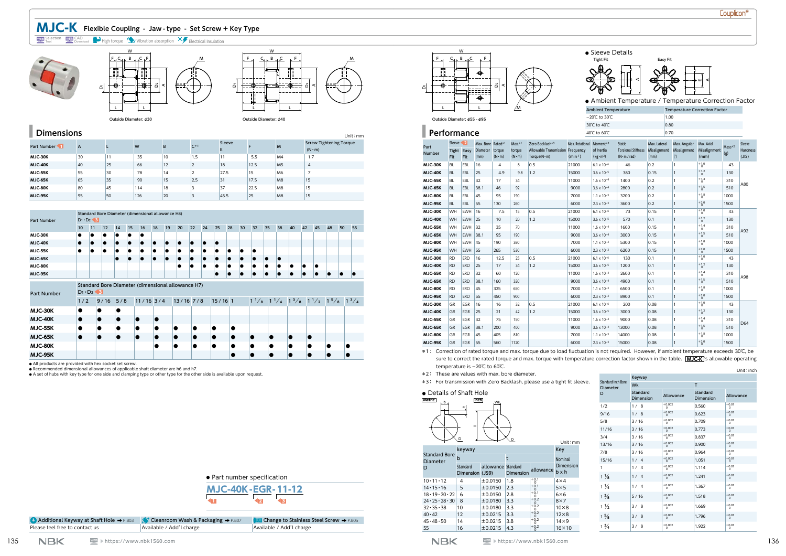A

# **MJC-K Flexible Coupling - Jaw - type - Set Screw + Key Type**

Selection  $\frac{W}{2}$  CAD Download  $\frac{1}{2}$  High torque  $\frac{1}{2}$  Vibration absorption  $\times$  Electrical Insulation







Outside Diameter: φ30

Outside Diameter: φ40

F

اة

| <b>Dimensions</b> |    |    |     |    |                |             |      |                | Unit: $mm$                                      |
|-------------------|----|----|-----|----|----------------|-------------|------|----------------|-------------------------------------------------|
| Part Number 1     | A  |    | W   | B  | $C*1$          | Sleeve<br>Е |      | M              | <b>Screw Tightening Torque</b><br>$(N \cdot m)$ |
| MJC-30K           | 30 | 11 | 35  | 10 | 1.5            | 11          | 5.5  | M4             | 1.7                                             |
| <b>MJC-40K</b>    | 40 | 25 | 66  | 12 | $\overline{2}$ | 18          | 12.5 | M <sub>5</sub> | $\overline{4}$                                  |
| <b>MJC-55K</b>    | 55 | 30 | 78  | 14 | $\overline{2}$ | 27.5        | 15   | M <sub>6</sub> | $\overline{7}$                                  |
| <b>MJC-65K</b>    | 65 | 35 | 90  | 15 | 2.5            | 31          | 17.5 | M <sub>8</sub> | 15                                              |
| MJC-80K           | 80 | 45 | 114 | 18 | 3              | 37          | 22.5 | M <sub>8</sub> | 15                                              |
| <b>MJC-95K</b>    | 95 | 50 | 126 | 20 | 3              | 45.5        | 25   | M <sub>8</sub> | 15                                              |

| <b>Part Number</b>                          | Standard Bore Diameter (dimensional allowance H8)<br>$D_1 \cdot D_2 \cdot 3$ |           |           |                 |                                                   |                 |             |                        |           |           |    |              |           |    |                                                                  |           |           |    |    |    |
|---------------------------------------------|------------------------------------------------------------------------------|-----------|-----------|-----------------|---------------------------------------------------|-----------------|-------------|------------------------|-----------|-----------|----|--------------|-----------|----|------------------------------------------------------------------|-----------|-----------|----|----|----|
|                                             | 10                                                                           | 11        | 12        | 15<br>14        | 16                                                | 18<br>19        | 20          | 22<br>24               | 25        | 28        | 30 | 32           | 35        | 38 | 40                                                               | 42        | 45        | 48 | 50 | 55 |
| MJC-30K                                     |                                                                              | $\bullet$ | $\bullet$ | $\bullet$       |                                                   |                 |             |                        |           |           |    |              |           |    |                                                                  |           |           |    |    |    |
| <b>MJC-40K</b>                              | $\bullet$                                                                    | $\bullet$ | $\bullet$ | $\bullet$<br>lo | lo                                                | $\bullet$<br>lo |             | $\bullet$<br>$\bullet$ | lo        |           |    |              |           |    |                                                                  |           |           |    |    |    |
| <b>MJC-55K</b>                              |                                                                              | $\bullet$ |           | $\bullet$       |                                                   | lo<br>lo        | ٠           | o<br>$\bullet$         | ٠         |           |    |              |           |    |                                                                  |           |           |    |    |    |
| <b>MJC-65K</b>                              |                                                                              |           |           |                 | ●                                                 | $\bullet$       |             | $\bullet$              | $\bullet$ | $\bullet$ | lo | $\bullet$    | e         |    |                                                                  |           |           |    |    |    |
| MJC-80K                                     |                                                                              |           |           |                 |                                                   |                 |             |                        |           | $\bullet$ |    | $\bullet$    | lo        |    |                                                                  |           |           |    |    |    |
| <b>MJC-95K</b>                              |                                                                              |           |           |                 |                                                   |                 |             |                        |           |           |    |              | o         |    | lo                                                               | ●         | $\bullet$ |    |    |    |
| <b>Part Number</b>                          | $D_1 \cdot D_2$ 3                                                            |           |           |                 | Standard Bore Diameter (dimensional allowance H7) |                 |             |                        |           |           |    |              |           |    |                                                                  |           |           |    |    |    |
|                                             | 1/2                                                                          |           |           |                 |                                                   |                 |             |                        |           |           |    |              |           |    |                                                                  |           |           |    |    |    |
|                                             |                                                                              |           | 9/16      | 5/8             | $11/16$ 3/4                                       |                 | $13/16$ 7/8 |                        | $15/16$ 1 |           |    | $1^{1}/_{8}$ |           |    | $1^{1}/_{4}$ $1^{3}/_{8}$ $1^{1}/_{2}$ $1^{5}/_{8}$ $1^{3}/_{4}$ |           |           |    |    |    |
| <b>MJC-30K</b>                              | $\bullet$                                                                    | $\bullet$ |           | $\bullet$       |                                                   |                 |             |                        |           |           |    |              |           |    |                                                                  |           |           |    |    |    |
|                                             | lo                                                                           | $\bullet$ |           | $\bullet$       | $\bullet$                                         |                 |             |                        |           |           |    |              |           |    |                                                                  |           |           |    |    |    |
| <b>MJC-55K</b>                              | $\bullet$                                                                    | $\bullet$ |           | $\bullet$       | $\bullet$                                         |                 | $\bullet$   |                        | $\bullet$ | $\bullet$ |    |              |           |    |                                                                  |           |           |    |    |    |
|                                             | $\bullet$                                                                    | $\bullet$ |           | $\bullet$       | $\bullet$                                         | $\bullet$       | $\bullet$   | $\bullet$              | $\bullet$ | lo        |    | $\bullet$    | $\bullet$ |    | $\bullet$                                                        | $\bullet$ |           |    |    |    |
| MJC-40K<br><b>MJC-65K</b><br><b>MJC-80K</b> |                                                                              |           |           |                 |                                                   |                 | $\bullet$   |                        | $\bullet$ | o         |    | $\bullet$    | $\bullet$ |    |                                                                  | $\bullet$ |           |    |    |    |

**●** All products are provided with hex socket set screw.

**●** Recommended dimensional allowances of applicable shaft diameter are h6 and h7.

**●** A set of hubs with key type for one side and clamping type or other type for the other side is available upon request.

| • Part number specification |  |
|-----------------------------|--|
|-----------------------------|--|

| <b>MJC-40K-EGR-11-1</b> |  |
|-------------------------|--|
|                         |  |

| ● Additional Keyway at Shaft Hole $\rightarrow$ P.803 and St Cleanroom Wash & Packaging $\rightarrow$ P.807 |                          | <b>EXIS</b> Change to Stainless Steel Screw → P.805 |
|-------------------------------------------------------------------------------------------------------------|--------------------------|-----------------------------------------------------|
| Please feel free to contact us                                                                              | Available / Add'l charge | Available / Add'l charge                            |





-20℃ to 30℃ 1.00 30℃ to 40℃ 0.80

Outside Diameter: φ55 - φ95

| Performance           |                                       |            |                                              |               |                                     |                                                                                   |                                       | 40℃ to 60℃                     |                                                                    | 0.70                                 |                                     |                                    |                 |                                    |
|-----------------------|---------------------------------------|------------|----------------------------------------------|---------------|-------------------------------------|-----------------------------------------------------------------------------------|---------------------------------------|--------------------------------|--------------------------------------------------------------------|--------------------------------------|-------------------------------------|------------------------------------|-----------------|------------------------------------|
| Part<br><b>Number</b> | Sleeve 12<br><b>Tight Easy</b><br>Fit | Fit        | Max. Bore Rated*1<br>Diameter torque<br>(mm) | $(N \cdot m)$ | $Max.*1$<br>torque<br>$(N \cdot m)$ | Zero Backlash*3<br><b>Allowable Transmission Frequency</b><br>$Torque(N \cdot m)$ | Max. Rotational Moment*2<br>$(min-1)$ | of Inertia<br>$(kg \cdot m^2)$ | <b>Static</b><br><b>Torsional Stiffness</b><br>$(N \cdot m / rad)$ | Max. Lateral<br>Misalignment<br>(mm) | Max. Angular<br>Misalignment<br>(°) | Max. Axial<br>Misalignment<br>(mm) | $Mass*2$<br>(g) | Sleeve<br><b>Hardness</b><br>(JIS) |
| MJC-30K               | <b>BL</b>                             | EBL        | 16                                           | 4             | 8                                   | 0.5                                                                               | 21000                                 | $6.1 \times 10^{-6}$           | 46                                                                 | 0.2                                  | $\mathbf{1}$                        | $^{+1.0}_{0}$                      | 43              |                                    |
| <b>MJC-40K</b>        | <b>BL</b>                             | EBL        | 25                                           | 4.9           | 9.8                                 | 1.2                                                                               | 15000                                 | $3.6 \times 10^{-5}$           | 380                                                                | 0.15                                 | $\mathbf{1}$                        | $+1.2$                             | 130             |                                    |
| <b>MJC-55K</b>        | <b>BL</b>                             | EBL        | 32                                           | 17            | 34                                  |                                                                                   | 11000                                 | $1.6 \times 10^{-4}$           | 1400                                                               | 0.2                                  | $\mathbf{1}$                        | $^{+1.4}_{0}$                      | 310             | A80                                |
| <b>MJC-65K</b>        | <b>BL</b>                             | EBL        | 38.1                                         | 46            | 92                                  |                                                                                   | 9000                                  | $3.6 \times 10^{-4}$           | 2800                                                               | 0.2                                  | $\mathbf{1}$                        | $+1.5$                             | 510             |                                    |
| MJC-80K               | <b>BL</b>                             | EBL        | 45                                           | 95            | 190                                 |                                                                                   | 7000                                  | $1.1 \times 10^{-3}$           | 3200                                                               | 0.2                                  | 1                                   | $+1.8$                             | 1000            |                                    |
| <b>MJC-95K</b>        | <b>BL</b>                             | EBL        | 55                                           | 130           | 260                                 |                                                                                   | 6000                                  | $2.3 \times 10^{-3}$           | 3600                                                               | 0.2                                  | $\mathbf{1}$                        | $^{+2.0}_{0}$                      | 1500            |                                    |
| <b>MJC-30K</b>        | WH                                    | <b>EWH</b> | 16                                           | 7.5           | 15                                  | 0.5                                                                               | 21000                                 | $6.1 \times 10^{-6}$           | 73                                                                 | 0.15                                 | $\mathbf{1}$                        | $^{+1.0}_{0}$                      | 43              |                                    |
| <b>MJC-40K</b>        | WH                                    | <b>EWH</b> | 25                                           | 10            | 20                                  | 1.2                                                                               | 15000                                 | $3.6 \times 10^{-5}$           | 570                                                                | 0.1                                  | $\mathbf{1}$                        | $+1.2$                             | 130             |                                    |
| <b>MJC-55K</b>        | WH                                    | <b>EWH</b> | 32                                           | 35            | 70                                  |                                                                                   | 11000                                 | $1.6 \times 10^{-4}$           | 1600                                                               | 0.15                                 | $\mathbf{1}$                        | $^{+1.4}_{0}$                      | 310             | A92                                |
| <b>MJC-65K</b>        | WH                                    | <b>EWH</b> | 38.1                                         | 95            | 190                                 |                                                                                   | 9000                                  | $3.6 \times 10^{-4}$           | 3000                                                               | 0.15                                 | $\mathbf{1}$                        | $+1.5$                             | 510             |                                    |
| MJC-80K               | <b>WH</b>                             | <b>EWH</b> | 45                                           | 190           | 380                                 |                                                                                   | 7000                                  | $1.1 \times 10^{-3}$           | 5300                                                               | 0.15                                 | $\mathbf{1}$                        | $+1.8$                             | 1000            |                                    |
| <b>MJC-95K</b>        | <b>WH</b>                             | <b>EWH</b> | 55                                           | 265           | 530                                 |                                                                                   | 6000                                  | $2.3 \times 10^{-3}$           | 6200                                                               | 0.15                                 | $\mathbf{1}$                        | $+2.0$                             | 1500            |                                    |
| MJC-30K               | <b>RD</b>                             | ERD        | 16                                           | 12.5          | 25                                  | 0.5                                                                               | 21000                                 | $6.1 \times 10^{-6}$           | 130                                                                | 0.1                                  | $\mathbf{1}$                        | $+1.0$                             | 43              |                                    |
| <b>MJC-40K</b>        | <b>RD</b>                             | ERD        | 25                                           | 17            | 34                                  | 1.2                                                                               | 15000                                 | $3.6 \times 10^{-5}$           | 1200                                                               | 0.1                                  | $\mathbf{1}$                        | $+1.2$                             | 130             |                                    |
| <b>MJC-55K</b>        | <b>RD</b>                             | ERD        | 32                                           | 60            | 120                                 |                                                                                   | 11000                                 | $1.6 \times 10^{-4}$           | 2600                                                               | 0.1                                  | $\mathbf{1}$                        | $^{+1.4}_{0}$                      | 310             | A98                                |
| <b>MJC-65K</b>        | <b>RD</b>                             | <b>ERD</b> | 38.1                                         | 160           | 320                                 |                                                                                   | 9000                                  | $3.6 \times 10^{-4}$           | 4900                                                               | 0.1                                  | $\mathbf{1}$                        | $+1.5$                             | 510             |                                    |
| MJC-80K               | <b>RD</b>                             | <b>ERD</b> | 45                                           | 325           | 650                                 |                                                                                   | 7000                                  | $1.1 \times 10^{-3}$           | 6500                                                               | 0.1                                  | $\mathbf{1}$                        | $+1.8$                             | 1000            |                                    |
| <b>MJC-95K</b>        | <b>RD</b>                             | <b>ERD</b> | 55                                           | 450           | 900                                 |                                                                                   | 6000                                  | $2.3 \times 10^{-3}$           | 8900                                                               | 0.1                                  | $\mathbf{1}$                        | $+2.0$                             | 1500            |                                    |
| <b>MJC-30K</b>        | GR                                    | EGR        | 16                                           | 16            | 32                                  | 0.5                                                                               | 21000                                 | $6.1 \times 10^{-6}$           | 200                                                                | 0.08                                 | $\mathbf{1}$                        | $+1.0$                             | 43              |                                    |
| <b>MJC-40K</b>        | <b>GR</b>                             | <b>EGR</b> | 25                                           | 21            | 42                                  | 1.2                                                                               | 15000                                 | $3.6 \times 10^{-5}$           | 3000                                                               | 0.08                                 | $\mathbf{1}$                        | $+1.2$                             | 130             |                                    |
| <b>MJC-55K</b>        | GR                                    | EGR        | 32                                           | 75            | 150                                 |                                                                                   | 11000                                 | $1.6 \times 10^{-4}$           | 9000                                                               | 0.08                                 | $\mathbf{1}$                        | $^{+1.4}_{0}$                      | 310             | D64                                |
| <b>MJC-65K</b>        | <b>GR</b>                             | EGR        | 38.1                                         | 200           | 400                                 |                                                                                   | 9000                                  | $3.6 \times 10^{-4}$           | 13000                                                              | 0.08                                 | $\mathbf{1}$                        | $+1.5$                             | 510             |                                    |
| <b>MJC-80K</b>        | GR                                    | <b>EGR</b> | 45                                           | 405           | 810                                 |                                                                                   | 7000                                  | $1.1 \times 10^{-3}$           | 14000                                                              | 0.08                                 | $\mathbf{1}$                        | $+1.8$                             | 1000            |                                    |
| <b>MJC-95K</b>        | <b>GR</b>                             | <b>EGR</b> | 55                                           | 560           | 1120                                |                                                                                   | 6000                                  | $2.3 \times 10^{-3}$           | 15000                                                              | 0.08                                 | $\mathbf{1}$                        | $+2.0$                             | 1500            |                                    |

 \*1: Correction of rated torque and max. torque due to load fl uctuation is not required. However, if ambient temperature exceeds 30℃, be sure to correct the rated torque and max. torque with temperature correction factor shown in the table. **MJC-K** 's allowable operating temperature is -20℃ to 60℃. Unit:inch

Unit:mm

\*2: These are values with max. bore diameter.

\*3: For transmission with Zero Backlash, please use a tight fit sleeve.

#### **●** Details of Shaft Hole



|                                  | keyway                      | Key                |           |                    |                           |
|----------------------------------|-----------------------------|--------------------|-----------|--------------------|---------------------------|
| <b>Standard Bore</b><br>Diameter | b                           |                    | t         | Nominal            |                           |
| D                                | Standard<br>Dimension (JS9) | allowance Standard | Dimension | allowance          | Dimension<br>$b \times h$ |
| 10.11.12                         | 4                           | ±0.0150            | 1.8       | $+0.1$             | $4\times4$                |
| 14.15.16                         | 5                           | ±0.0150            | 2.3       | $+0.1$             | $5\times5$                |
| 18.19.20.22                      | 6                           | ±0.0150            | 2.8       | $+0.1$<br>$\Omega$ | $6\times 6$               |
| $24 \cdot 25 \cdot 28 \cdot 30$  | 8                           | ±0.0180            | 3.3       | $+0.2$             | $8\times7$                |
| $32 \cdot 35 \cdot 38$           | 10                          | ±0.0180            | 3.3       | $+0.2$             | $10\times8$               |
| $40 \cdot 42$                    | 12                          | ±0.0215            | 3.3       | $+0.2$<br>$\Omega$ | $12\times8$               |
| $45 \cdot 48 \cdot 50$           | 14                          | ±0.0215            | 3.8       | $+0.2$<br>$\Omega$ | $14\times9$               |
| 55                               | 16                          | ±0.0215            | 4.3       | $+0.2$<br>$\Omega$ | $16\times10$              |

|                                              | Keyway                       |                        |                              |                       |  |  |  |  |
|----------------------------------------------|------------------------------|------------------------|------------------------------|-----------------------|--|--|--|--|
| <b>Standard Inch Bore</b><br><b>Diameter</b> | <b>Wk</b>                    |                        | T                            |                       |  |  |  |  |
| D                                            | Standard<br><b>Dimension</b> | Allowance              | Standard<br><b>Dimension</b> | Allowance             |  |  |  |  |
| 1/2                                          | 1/8                          | $+0.002$<br>$\Omega$   | 0.560                        | $+0.01$               |  |  |  |  |
| 9/16                                         | 1/8                          | $+0.002$               | 0.623                        | $+0.01$               |  |  |  |  |
| 5/8                                          | 3/16                         | $+0.002$               | 0.709                        | $+0.01$               |  |  |  |  |
| 11/16                                        | 3/16                         | $+0.002$               | 0.773                        | $+0.01$<br>$\Omega$   |  |  |  |  |
| 3/4                                          | 3/16                         | $+0.002$<br>$\Omega$   | 0.837                        | $+0.01$<br>$^{\circ}$ |  |  |  |  |
| 13/16                                        | 3/16                         | $+0.002$               | 0.900                        | $+0.01$               |  |  |  |  |
| 7/8                                          | 3/16                         | $+0.002$               | 0.964                        | $+0.01$               |  |  |  |  |
| 15/16                                        | 1/4                          | $+0.002$               | 1.051                        | $+0.01$               |  |  |  |  |
| 1                                            | 1/4                          | $+0.002$               | 1.114                        | $^{+0.01}_{0}$        |  |  |  |  |
| $1\frac{1}{8}$                               | 1/4                          | $+0.002$               | 1.241                        | $^{+0.01}_{0}$        |  |  |  |  |
| $1\frac{1}{4}$                               | 1/4                          | $+0.002$<br>$\Omega$   | 1.367                        | $+0.01$<br>$\Omega$   |  |  |  |  |
| $1\frac{3}{8}$                               | 5/16                         | $+0.002$<br>$\Omega$   | 1.518                        | $+0.01$<br>$\Omega$   |  |  |  |  |
| $1\frac{1}{2}$                               | 3/8                          | $+0.002$<br>$\Omega$   | 1.669                        | $+0.01$<br>$\Omega$   |  |  |  |  |
| $1\frac{5}{8}$                               | 3/8                          | $+0.002$<br>$^{\circ}$ | 1.796                        | $+0.01$<br>$^{\circ}$ |  |  |  |  |
| $1\frac{3}{4}$                               | 3/8                          | $+0.002$<br>$^{\circ}$ | 1.922                        | $+0.01$<br>$^{\circ}$ |  |  |  |  |